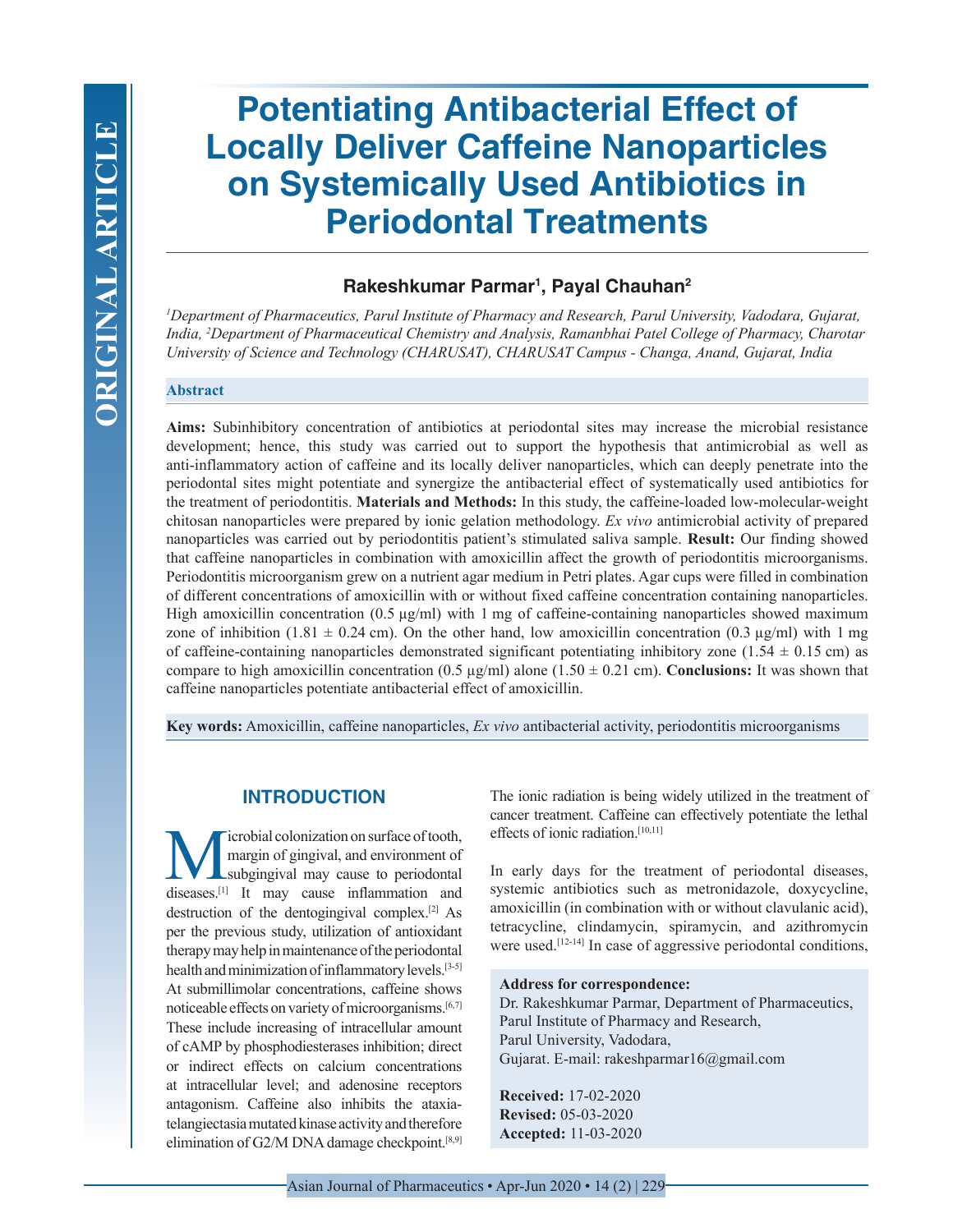# **Potentiating Antibacterial Effect of Locally Deliver Caffeine Nanoparticles on Systemically Used Antibiotics in Periodontal Treatments**

# **Rakeshkumar Parmar1 , Payal Chauhan2**

*1 Department of Pharmaceutics, Parul Institute of Pharmacy and Research, Parul University, Vadodara, Gujarat, India, 2 Department of Pharmaceutical Chemistry and Analysis, Ramanbhai Patel College of Pharmacy, Charotar University of Science and Technology (CHARUSAT), CHARUSAT Campus - Changa, Anand, Gujarat, India*

## **Abstract**

**Aims:** Subinhibitory concentration of antibiotics at periodontal sites may increase the microbial resistance development; hence, this study was carried out to support the hypothesis that antimicrobial as well as anti-inflammatory action of caffeine and its locally deliver nanoparticles, which can deeply penetrate into the periodontal sites might potentiate and synergize the antibacterial effect of systematically used antibiotics for the treatment of periodontitis. **Materials and Methods:** In this study, the caffeine-loaded low-molecular-weight chitosan nanoparticles were prepared by ionic gelation methodology. *Ex vivo* antimicrobial activity of prepared nanoparticles was carried out by periodontitis patient's stimulated saliva sample. **Result:** Our finding showed that caffeine nanoparticles in combination with amoxicillin affect the growth of periodontitis microorganisms. Periodontitis microorganism grew on a nutrient agar medium in Petri plates. Agar cups were filled in combination of different concentrations of amoxicillin with or without fixed caffeine concentration containing nanoparticles. High amoxicillin concentration (0.5 µg/ml) with 1 mg of caffeine-containing nanoparticles showed maximum zone of inhibition (1.81  $\pm$  0.24 cm). On the other hand, low amoxicillin concentration (0.3 µg/ml) with 1 mg of caffeine-containing nanoparticles demonstrated significant potentiating inhibitory zone (1.54  $\pm$  0.15 cm) as compare to high amoxicillin concentration  $(0.5 \text{ µg/ml})$  alone  $(1.50 \pm 0.21 \text{ cm})$ . **Conclusions:** It was shown that caffeine nanoparticles potentiate antibacterial effect of amoxicillin.

**Key words:** Amoxicillin, caffeine nanoparticles, *Ex vivo* antibacterial activity, periodontitis microorganisms

# **INTRODUCTION**

Microbial colonization on surface of tooth,<br>margin of gingival, and environment of<br>diseases<sup>[1]</sup> It may cause, inflammation, and margin of gingival, and environment of subgingival may cause to periodontal diseases.<sup>[1]</sup> It may cause inflammation and destruction of the dentogingival complex.[2] As per the previous study, utilization of antioxidant therapy may help in maintenance of the periodontal health and minimization of inflammatory levels.[3-5] At submillimolar concentrations, caffeine shows noticeable effects on variety of microorganisms.[6,7] These include increasing of intracellular amount of cAMP by phosphodiesterases inhibition; direct or indirect effects on calcium concentrations at intracellular level; and adenosine receptors antagonism. Caffeine also inhibits the ataxiatelangiectasia mutated kinase activity and therefore elimination of G2/M DNA damage checkpoint.[8,9]

The ionic radiation is being widely utilized in the treatment of cancer treatment. Caffeine can effectively potentiate the lethal effects of ionic radiation.<sup>[10,11]</sup>

In early days for the treatment of periodontal diseases, systemic antibiotics such as metronidazole, doxycycline, amoxicillin (in combination with or without clavulanic acid), tetracycline, clindamycin, spiramycin, and azithromycin were used.<sup>[12-14]</sup> In case of aggressive periodontal conditions,

#### **Address for correspondence:**

Dr. Rakeshkumar Parmar, Department of Pharmaceutics, Parul Institute of Pharmacy and Research, Parul University, Vadodara, Gujarat. E-mail: rakeshparmar16@gmail.com

**Received:** 17-02-2020 **Revised:** 05-03-2020 **Accepted:** 11-03-2020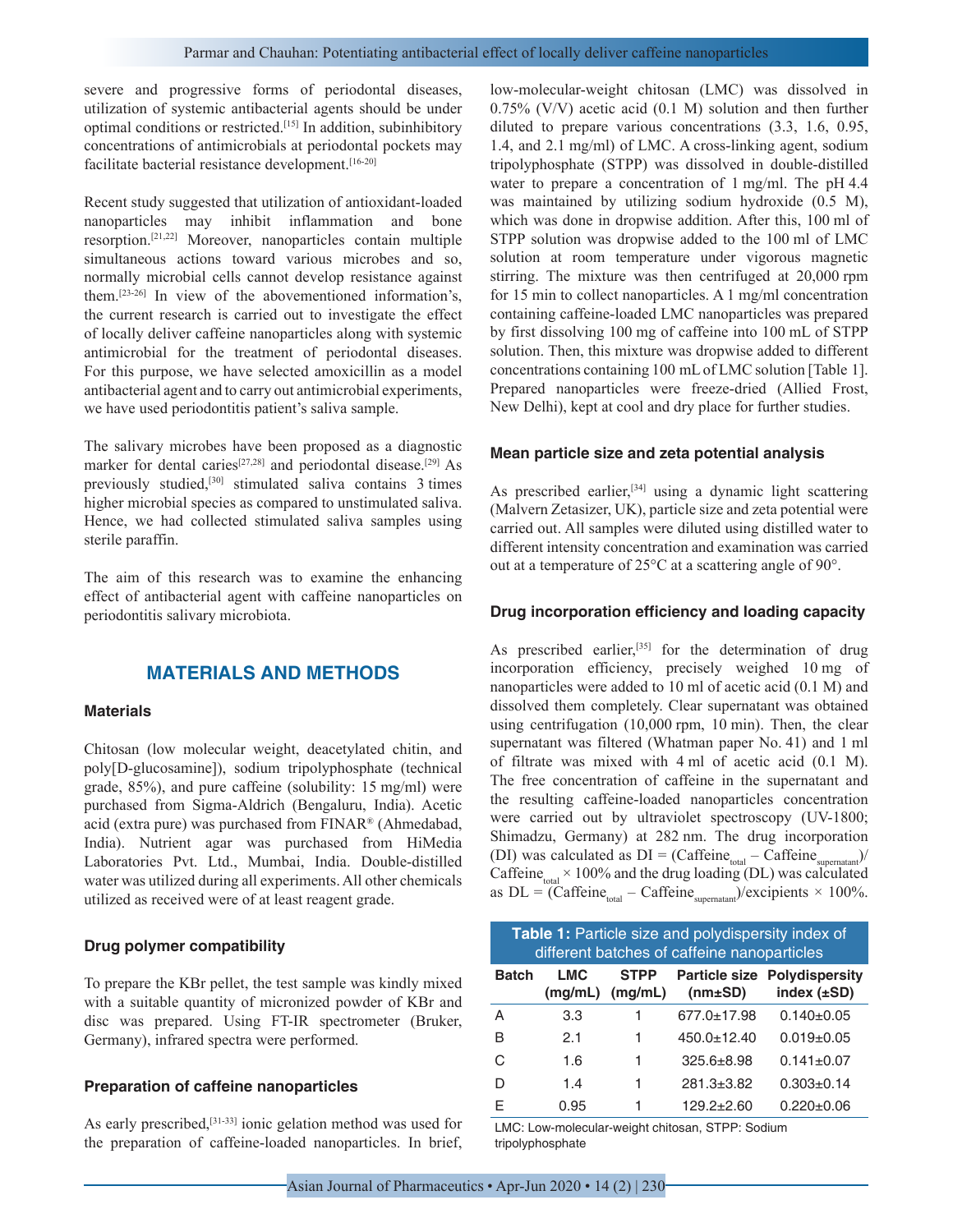severe and progressive forms of periodontal diseases, utilization of systemic antibacterial agents should be under optimal conditions or restricted.[15] In addition, subinhibitory concentrations of antimicrobials at periodontal pockets may facilitate bacterial resistance development.<sup>[16-20]</sup>

Recent study suggested that utilization of antioxidant-loaded nanoparticles may inhibit inflammation and bone resorption.[21,22] Moreover, nanoparticles contain multiple simultaneous actions toward various microbes and so, normally microbial cells cannot develop resistance against them.[23-26] In view of the abovementioned information's, the current research is carried out to investigate the effect of locally deliver caffeine nanoparticles along with systemic antimicrobial for the treatment of periodontal diseases. For this purpose, we have selected amoxicillin as a model antibacterial agent and to carry out antimicrobial experiments, we have used periodontitis patient's saliva sample.

The salivary microbes have been proposed as a diagnostic marker for dental caries<sup>[27,28]</sup> and periodontal disease.<sup>[29]</sup> As previously studied,[30] stimulated saliva contains 3 times higher microbial species as compared to unstimulated saliva. Hence, we had collected stimulated saliva samples using sterile paraffin.

The aim of this research was to examine the enhancing effect of antibacterial agent with caffeine nanoparticles on periodontitis salivary microbiota.

# **MATERIALS AND METHODS**

#### **Materials**

Chitosan (low molecular weight, deacetylated chitin, and poly[D-glucosamine]), sodium tripolyphosphate (technical grade, 85%), and pure caffeine (solubility: 15 mg/ml) were purchased from Sigma-Aldrich (Bengaluru, India). Acetic acid (extra pure) was purchased from FINAR® (Ahmedabad, India). Nutrient agar was purchased from HiMedia Laboratories Pvt. Ltd., Mumbai, India. Double-distilled water was utilized during all experiments. All other chemicals utilized as received were of at least reagent grade.

#### **Drug polymer compatibility**

To prepare the KBr pellet, the test sample was kindly mixed with a suitable quantity of micronized powder of KBr and disc was prepared. Using FT-IR spectrometer (Bruker, Germany), infrared spectra were performed.

#### **Preparation of caffeine nanoparticles**

As early prescribed,<sup>[31-33]</sup> ionic gelation method was used for the preparation of caffeine-loaded nanoparticles. In brief, low-molecular-weight chitosan (LMC) was dissolved in 0.75% (V/V) acetic acid (0.1 M) solution and then further diluted to prepare various concentrations (3.3, 1.6, 0.95, 1.4, and 2.1 mg/ml) of LMC. A cross-linking agent, sodium tripolyphosphate (STPP) was dissolved in double-distilled water to prepare a concentration of 1 mg/ml. The pH 4.4 was maintained by utilizing sodium hydroxide (0.5 M), which was done in dropwise addition. After this, 100 ml of STPP solution was dropwise added to the 100 ml of LMC solution at room temperature under vigorous magnetic stirring. The mixture was then centrifuged at 20,000 rpm for 15 min to collect nanoparticles. A 1 mg/ml concentration containing caffeine-loaded LMC nanoparticles was prepared by first dissolving 100 mg of caffeine into 100 mL of STPP solution. Then, this mixture was dropwise added to different concentrations containing 100 mL of LMC solution [Table 1]. Prepared nanoparticles were freeze-dried (Allied Frost, New Delhi), kept at cool and dry place for further studies.

#### **Mean particle size and zeta potential analysis**

As prescribed earlier,<sup>[34]</sup> using a dynamic light scattering (Malvern Zetasizer, UK), particle size and zeta potential were carried out. All samples were diluted using distilled water to different intensity concentration and examination was carried out at a temperature of 25°C at a scattering angle of 90°.

#### **Drug incorporation efficiency and loading capacity**

As prescribed earlier,<sup>[35]</sup> for the determination of drug incorporation efficiency, precisely weighed 10 mg of nanoparticles were added to 10 ml of acetic acid (0.1 M) and dissolved them completely. Clear supernatant was obtained using centrifugation (10,000 rpm, 10 min). Then, the clear supernatant was filtered (Whatman paper No. 41) and 1 ml of filtrate was mixed with 4 ml of acetic acid (0.1 M). The free concentration of caffeine in the supernatant and the resulting caffeine-loaded nanoparticles concentration were carried out by ultraviolet spectroscopy (UV-1800; Shimadzu, Germany) at 282 nm. The drug incorporation (DI) was calculated as  $DI = (Caffeine_{total} - Caffeine_{superatant})/$ Caffeine $\epsilon_{\text{total}}$  × 100% and the drug loading (DL) was calculated as  $DL = \frac{60}{nC}$  Caffeine<sub>total</sub> – Caffeine<sub>supernatant</sub>)/excipients × 100%.

| <b>Table 1:</b> Particle size and polydispersity index of<br>different batches of caffeine nanoparticles |                 |                        |                  |                                                         |  |
|----------------------------------------------------------------------------------------------------------|-----------------|------------------------|------------------|---------------------------------------------------------|--|
| <b>Batch</b>                                                                                             | I MC<br>(mq/mL) | <b>STPP</b><br>(mq/mL) | $(mm \pm SD)$    | <b>Particle size Polydispersity</b><br>index $(\pm SD)$ |  |
| А                                                                                                        | 3.3             |                        | 677.0+17.98      | $0.140 + 0.05$                                          |  |
| R                                                                                                        | 2.1             | 1                      | 450.0+12.40      | $0.019 + 0.05$                                          |  |
| C                                                                                                        | 1.6             | 1                      | $325.6 + 8.98$   | $0.141 + 0.07$                                          |  |
| D                                                                                                        | 1.4             | 1                      | $281.3 \pm 3.82$ | $0.303 + 0.14$                                          |  |
| F                                                                                                        | 0.95            |                        | $129.2 + 2.60$   | $0.220 \pm 0.06$                                        |  |

LMC: Low-molecular-weight chitosan, STPP: Sodium tripolyphosphate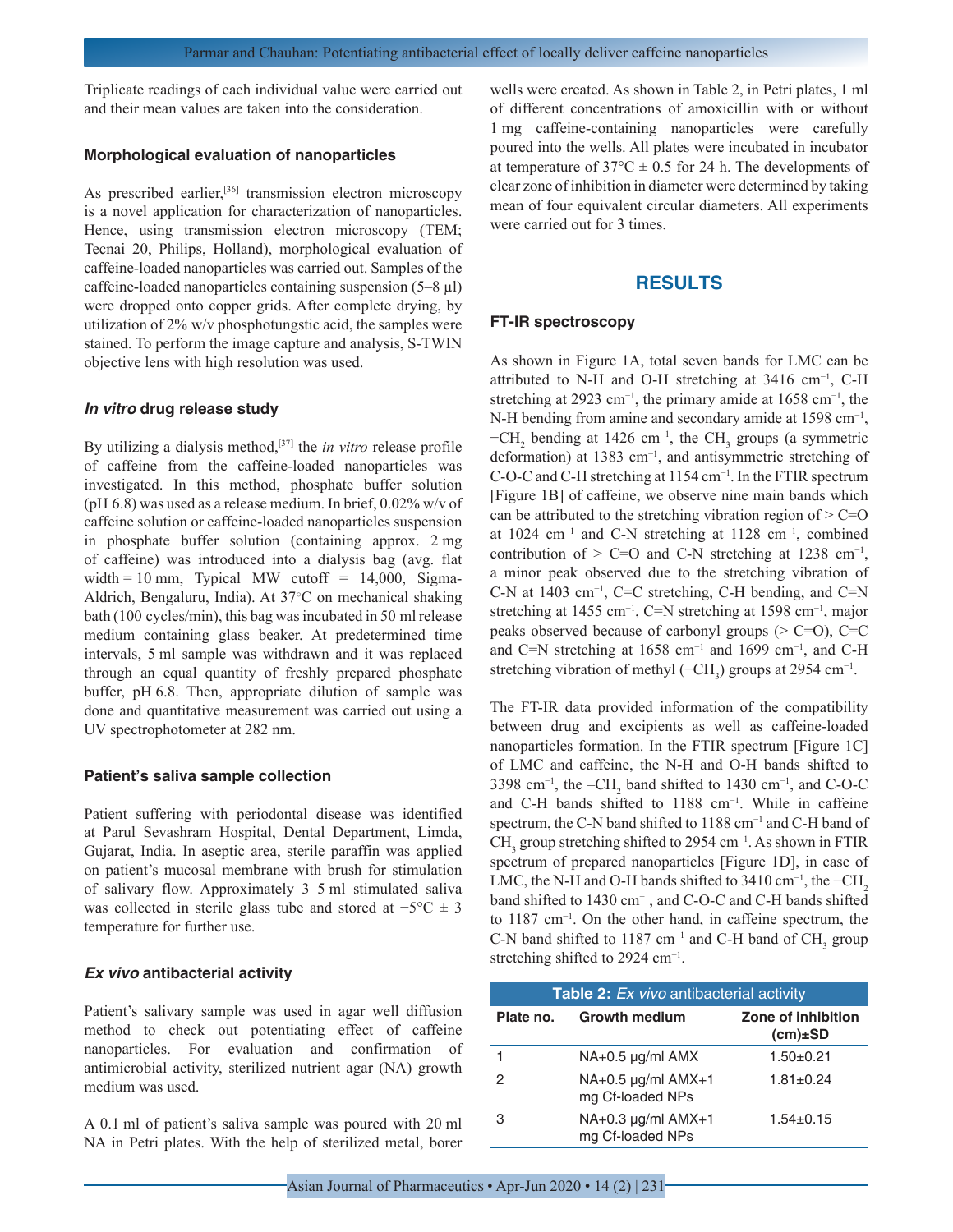Triplicate readings of each individual value were carried out and their mean values are taken into the consideration.

#### **Morphological evaluation of nanoparticles**

As prescribed earlier,<sup>[36]</sup> transmission electron microscopy is a novel application for characterization of nanoparticles. Hence, using transmission electron microscopy (TEM; Tecnai 20, Philips, Holland), morphological evaluation of caffeine-loaded nanoparticles was carried out. Samples of the caffeine-loaded nanoparticles containing suspension (5–8 µl) were dropped onto copper grids. After complete drying, by utilization of 2% w/v phosphotungstic acid, the samples were stained. To perform the image capture and analysis, S-TWIN objective lens with high resolution was used.

#### *In vitro* **drug release study**

By utilizing a dialysis method,<sup>[37]</sup> the *in vitro* release profile of caffeine from the caffeine-loaded nanoparticles was investigated. In this method, phosphate buffer solution (pH 6.8) was used as a release medium. In brief, 0.02% w/v of caffeine solution or caffeine-loaded nanoparticles suspension in phosphate buffer solution (containing approx. 2 mg of caffeine) was introduced into a dialysis bag (avg. flat width = 10 mm, Typical MW cutoff =  $14,000$ , Sigma-Aldrich, Bengaluru, India). At 37○C on mechanical shaking bath (100 cycles/min), this bag was incubated in 50 ml release medium containing glass beaker. At predetermined time intervals, 5 ml sample was withdrawn and it was replaced through an equal quantity of freshly prepared phosphate buffer, pH 6.8. Then, appropriate dilution of sample was done and quantitative measurement was carried out using a UV spectrophotometer at 282 nm.

#### **Patient's saliva sample collection**

Patient suffering with periodontal disease was identified at Parul Sevashram Hospital, Dental Department, Limda, Gujarat, India. In aseptic area, sterile paraffin was applied on patient's mucosal membrane with brush for stimulation of salivary flow. Approximately 3–5 ml stimulated saliva was collected in sterile glass tube and stored at  $-5$ °C  $\pm$  3 temperature for further use.

## *Ex vivo* **antibacterial activity**

Patient's salivary sample was used in agar well diffusion method to check out potentiating effect of caffeine nanoparticles. For evaluation and confirmation of antimicrobial activity, sterilized nutrient agar (NA) growth medium was used.

A 0.1 ml of patient's saliva sample was poured with 20 ml NA in Petri plates. With the help of sterilized metal, borer wells were created. As shown in Table 2, in Petri plates, 1 ml of different concentrations of amoxicillin with or without 1 mg caffeine-containing nanoparticles were carefully poured into the wells. All plates were incubated in incubator at temperature of  $37^{\circ}$ C  $\pm$  0.5 for 24 h. The developments of clear zone of inhibition in diameter were determined by taking mean of four equivalent circular diameters. All experiments were carried out for 3 times.

# **RESULTS**

#### **FT-IR spectroscopy**

As shown in Figure 1A, total seven bands for LMC can be attributed to N-H and O-H stretching at 3416 cm−1, C-H stretching at 2923 cm<sup>-1</sup>, the primary amide at 1658 cm<sup>-1</sup>, the N-H bending from amine and secondary amide at 1598 cm<sup>-1</sup>,  $-CH_2$  bending at 1426 cm<sup>-1</sup>, the CH<sub>3</sub> groups (a symmetric deformation) at 1383 cm−1, and antisymmetric stretching of C-O-C and C-H stretching at 1154 cm<sup>-1</sup>. In the FTIR spectrum [Figure 1B] of caffeine, we observe nine main bands which can be attributed to the stretching vibration region of  $> C=O$ at 1024 cm−1 and C-N stretching at 1128 cm−1, combined contribution of > C=O and C-N stretching at 1238 cm<sup>-1</sup>, a minor peak observed due to the stretching vibration of C-N at 1403 cm−1, C=C stretching, C-H bending, and C=N stretching at 1455 cm<sup>-1</sup>, C=N stretching at 1598 cm<sup>-1</sup>, major peaks observed because of carbonyl groups  $(> C=O)$ ,  $C=C$ and C=N stretching at 1658 cm<sup>-1</sup> and 1699 cm<sup>-1</sup>, and C-H stretching vibration of methyl ( $-CH_3$ ) groups at 2954 cm<sup>-1</sup>.

The FT-IR data provided information of the compatibility between drug and excipients as well as caffeine-loaded nanoparticles formation. In the FTIR spectrum [Figure 1C] of LMC and caffeine, the N-H and O-H bands shifted to 3398 cm<sup>-1</sup>, the  $-CH_2$  band shifted to 1430 cm<sup>-1</sup>, and C-O-C and C-H bands shifted to 1188 cm−1. While in caffeine spectrum, the C-N band shifted to 1188 cm<sup>-1</sup> and C-H band of CH<sub>3</sub> group stretching shifted to 2954 cm<sup>-1</sup>. As shown in FTIR spectrum of prepared nanoparticles [Figure 1D], in case of LMC, the N-H and O-H bands shifted to 3410 cm<sup>-1</sup>, the  $-CH<sub>2</sub>$ band shifted to 1430 cm−1, and C-O-C and C-H bands shifted to 1187 cm−1. On the other hand, in caffeine spectrum, the C-N band shifted to 1187 cm<sup>-1</sup> and C-H band of  $CH<sub>3</sub>$  group stretching shifted to 2924 cm<sup>-1</sup>.

| <b>Table 2:</b> Ex vivo antibacterial activity |                                             |                                     |  |  |  |
|------------------------------------------------|---------------------------------------------|-------------------------------------|--|--|--|
| Plate no.                                      | <b>Growth medium</b>                        | Zone of inhibition<br>$(cm) \pm SD$ |  |  |  |
|                                                | $NA+0.5 \mu q/ml$ AMX                       | $1.50+0.21$                         |  |  |  |
| 2                                              | $NA+0.5 \mu q/ml$ AMX+1<br>mg Cf-loaded NPs | $1.81 \pm 0.24$                     |  |  |  |
| З                                              | NA+0.3 µg/ml AMX+1<br>mg Cf-loaded NPs      | $1.54 \pm 0.15$                     |  |  |  |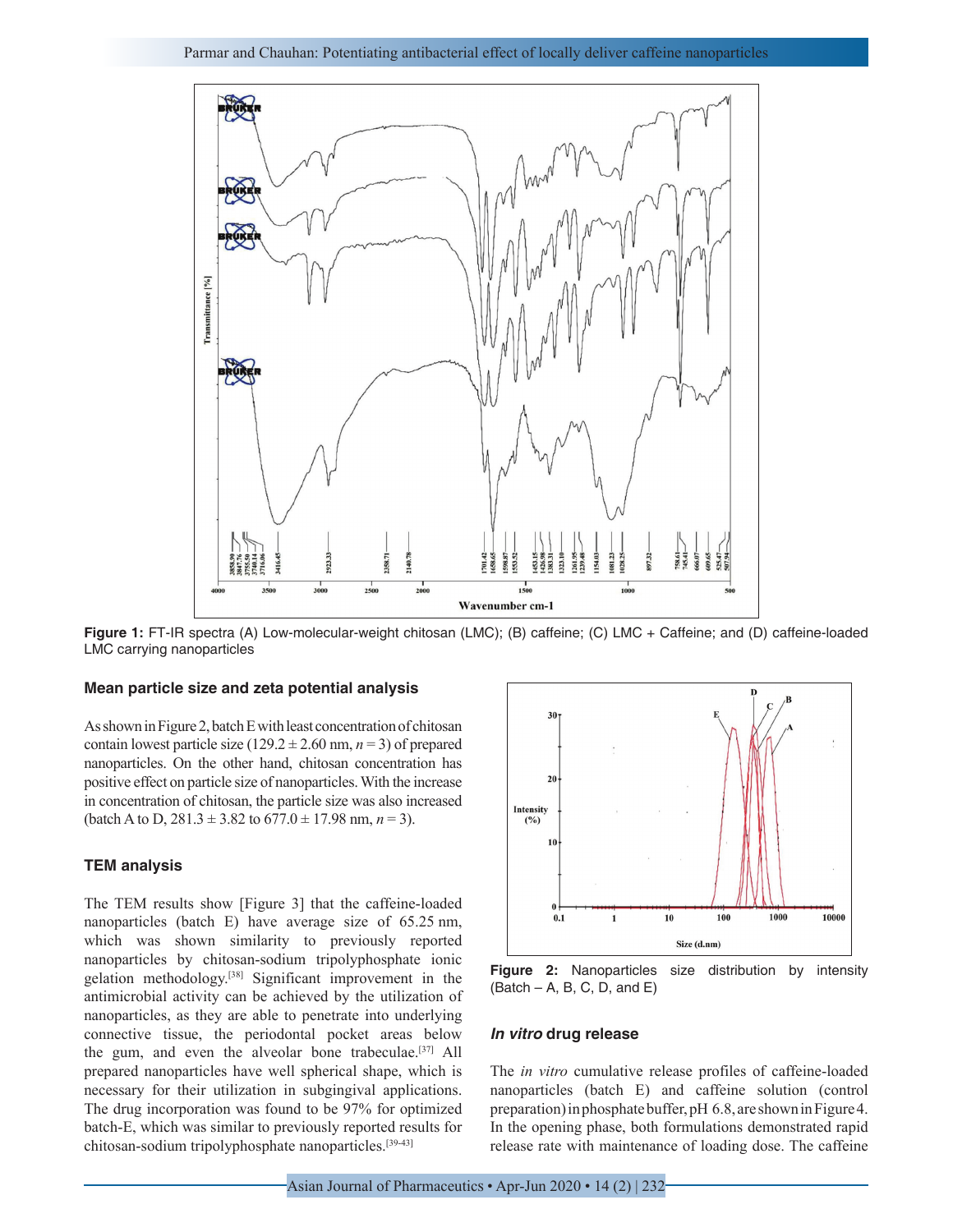

**Figure 1:** FT-IR spectra (A) Low-molecular-weight chitosan (LMC); (B) caffeine; (C) LMC + Caffeine; and (D) caffeine-loaded LMC carrying nanoparticles

#### **Mean particle size and zeta potential analysis**

As shown in Figure 2, batch E with least concentration of chitosan contain lowest particle size  $(129.2 \pm 2.60 \text{ nm}, n = 3)$  of prepared nanoparticles. On the other hand, chitosan concentration has positive effect on particle size of nanoparticles. With the increase in concentration of chitosan, the particle size was also increased (batch A to D,  $281.3 \pm 3.82$  to  $677.0 \pm 17.98$  nm,  $n = 3$ ).

#### **TEM analysis**

The TEM results show [Figure 3] that the caffeine-loaded nanoparticles (batch E) have average size of 65.25 nm, which was shown similarity to previously reported nanoparticles by chitosan-sodium tripolyphosphate ionic gelation methodology.[38] Significant improvement in the antimicrobial activity can be achieved by the utilization of nanoparticles, as they are able to penetrate into underlying connective tissue, the periodontal pocket areas below the gum, and even the alveolar bone trabeculae.<sup>[37]</sup> All prepared nanoparticles have well spherical shape, which is necessary for their utilization in subgingival applications. The drug incorporation was found to be 97% for optimized batch-E, which was similar to previously reported results for chitosan-sodium tripolyphosphate nanoparticles.[39-43]



**Figure 2:** Nanoparticles size distribution by intensity  $(Batch - A, B, C, D, and E)$ 

#### *In vitro* **drug release**

The *in vitro* cumulative release profiles of caffeine-loaded nanoparticles (batch E) and caffeine solution (control preparation) in phosphate buffer, pH 6.8, are shown in Figure 4. In the opening phase, both formulations demonstrated rapid release rate with maintenance of loading dose. The caffeine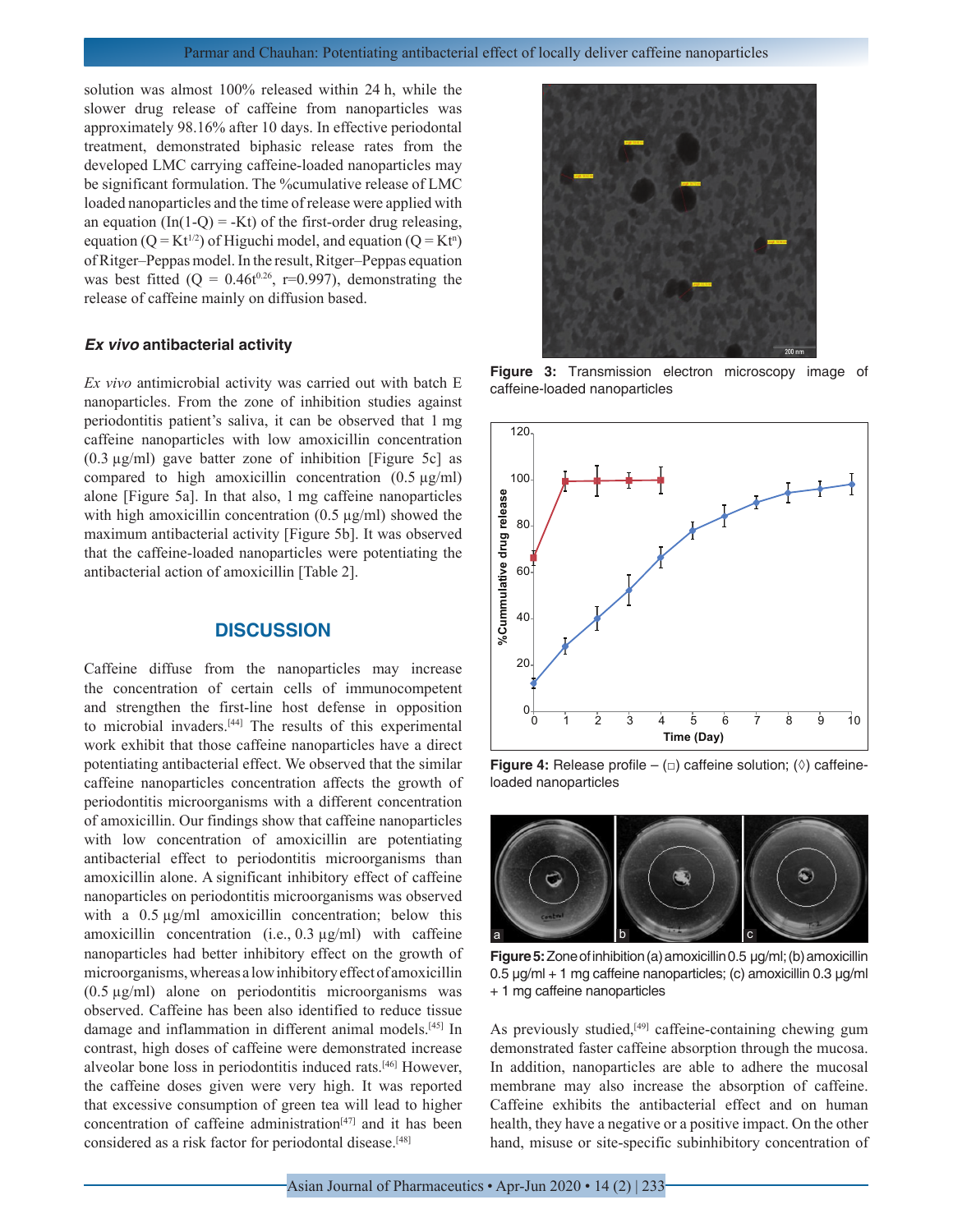solution was almost 100% released within 24 h, while the slower drug release of caffeine from nanoparticles was approximately 98.16% after 10 days. In effective periodontal treatment, demonstrated biphasic release rates from the developed LMC carrying caffeine-loaded nanoparticles may be significant formulation. The %cumulative release of LMC loaded nanoparticles and the time of release were applied with an equation (In(1-Q) = -Kt) of the first-order drug releasing, equation ( $Q = Kt^{1/2}$ ) of Higuchi model, and equation ( $Q = Kt^n$ ) of Ritger–Peppas model. In the result, Ritger–Peppas equation was best fitted ( $Q = 0.46t^{0.26}$ , r=0.997), demonstrating the release of caffeine mainly on diffusion based.

#### *Ex vivo* **antibacterial activity**

*Ex vivo* antimicrobial activity was carried out with batch E nanoparticles. From the zone of inhibition studies against periodontitis patient's saliva, it can be observed that 1 mg caffeine nanoparticles with low amoxicillin concentration  $(0.3 \mu g/ml)$  gave batter zone of inhibition [Figure 5c] as compared to high amoxicillin concentration  $(0.5 \text{ µg/ml})$ alone [Figure 5a]. In that also, 1 mg caffeine nanoparticles with high amoxicillin concentration  $(0.5 \mu g/ml)$  showed the maximum antibacterial activity [Figure 5b]. It was observed that the caffeine-loaded nanoparticles were potentiating the antibacterial action of amoxicillin [Table 2].

## **DISCUSSION**

Caffeine diffuse from the nanoparticles may increase the concentration of certain cells of immunocompetent and strengthen the first-line host defense in opposition to microbial invaders.[44] The results of this experimental work exhibit that those caffeine nanoparticles have a direct potentiating antibacterial effect. We observed that the similar caffeine nanoparticles concentration affects the growth of periodontitis microorganisms with a different concentration of amoxicillin. Our findings show that caffeine nanoparticles with low concentration of amoxicillin are potentiating antibacterial effect to periodontitis microorganisms than amoxicillin alone. A significant inhibitory effect of caffeine nanoparticles on periodontitis microorganisms was observed with a 0.5  $\mu$ g/ml amoxicillin concentration; below this amoxicillin concentration (i.e., 0.3 µg/ml) with caffeine nanoparticles had better inhibitory effect on the growth of microorganisms, whereas a low inhibitory effect of amoxicillin (0.5 µg/ml) alone on periodontitis microorganisms was observed. Caffeine has been also identified to reduce tissue damage and inflammation in different animal models.[45] In contrast, high doses of caffeine were demonstrated increase alveolar bone loss in periodontitis induced rats.[46] However, the caffeine doses given were very high. It was reported that excessive consumption of green tea will lead to higher concentration of caffeine administration<sup>[47]</sup> and it has been considered as a risk factor for periodontal disease.[48]



**Figure 3:** Transmission electron microscopy image of caffeine-loaded nanoparticles



**Figure 4:** Release profile – (□) caffeine solution; (◊) caffeineloaded nanoparticles



**Figure 5:** Zone of inhibition (a) amoxicillin 0.5 µg/ml; (b) amoxicillin 0.5 µg/ml + 1 mg caffeine nanoparticles; (c) amoxicillin 0.3 µg/ml + 1 mg caffeine nanoparticles

As previously studied,<sup>[49]</sup> caffeine-containing chewing gum demonstrated faster caffeine absorption through the mucosa. In addition, nanoparticles are able to adhere the mucosal membrane may also increase the absorption of caffeine. Caffeine exhibits the antibacterial effect and on human health, they have a negative or a positive impact. On the other hand, misuse or site-specific subinhibitory concentration of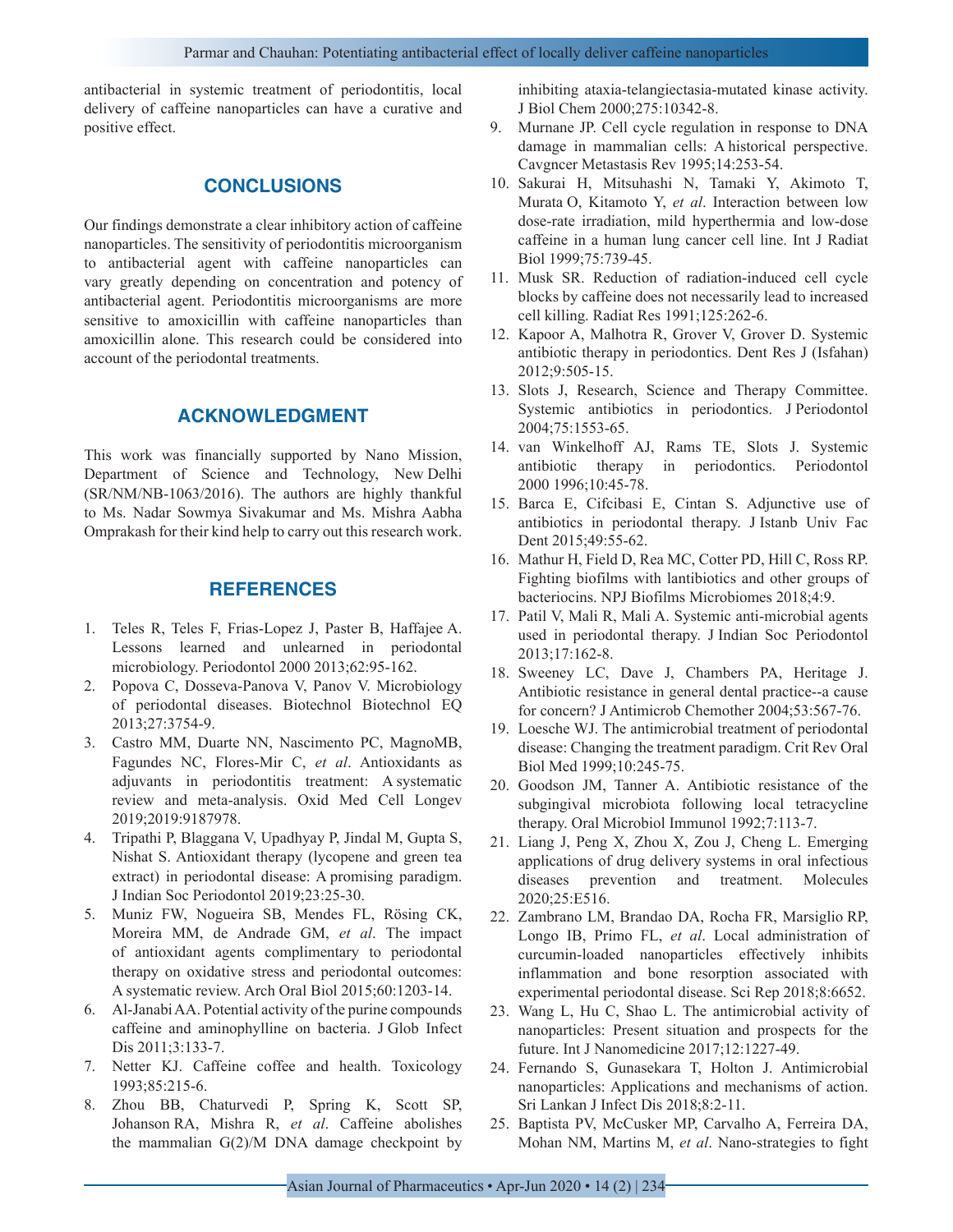antibacterial in systemic treatment of periodontitis, local delivery of caffeine nanoparticles can have a curative and positive effect.

# **CONCLUSIONS**

Our findings demonstrate a clear inhibitory action of caffeine nanoparticles. The sensitivity of periodontitis microorganism to antibacterial agent with caffeine nanoparticles can vary greatly depending on concentration and potency of antibacterial agent. Periodontitis microorganisms are more sensitive to amoxicillin with caffeine nanoparticles than amoxicillin alone. This research could be considered into account of the periodontal treatments.

## **ACKNOWLEDGMENT**

This work was financially supported by Nano Mission, Department of Science and Technology, New Delhi (SR/NM/NB-1063/2016). The authors are highly thankful to Ms. Nadar Sowmya Sivakumar and Ms. Mishra Aabha Omprakash for their kind help to carry out this research work.

## **REFERENCES**

- 1. Teles R, Teles F, Frias-Lopez J, Paster B, Haffajee A. Lessons learned and unlearned in periodontal microbiology. Periodontol 2000 2013;62:95-162.
- 2. Popova C, Dosseva-Panova V, Panov V. Microbiology of periodontal diseases. Biotechnol Biotechnol EQ 2013;27:3754-9.
- 3. Castro MM, Duarte NN, Nascimento PC, MagnoMB, Fagundes NC, Flores-Mir C, *et al*. Antioxidants as adjuvants in periodontitis treatment: A systematic review and meta-analysis. Oxid Med Cell Longev 2019;2019:9187978.
- 4. Tripathi P, Blaggana V, Upadhyay P, Jindal M, Gupta S, Nishat S. Antioxidant therapy (lycopene and green tea extract) in periodontal disease: A promising paradigm. J Indian Soc Periodontol 2019;23:25-30.
- 5. Muniz FW, Nogueira SB, Mendes FL, Rösing CK, Moreira MM, de Andrade GM, *et al*. The impact of antioxidant agents complimentary to periodontal therapy on oxidative stress and periodontal outcomes: A systematic review. Arch Oral Biol 2015;60:1203-14.
- 6. Al-Janabi AA. Potential activity of the purine compounds caffeine and aminophylline on bacteria. J Glob Infect Dis 2011;3:133-7.
- 7. Netter KJ. Caffeine coffee and health. Toxicology 1993;85:215-6.
- 8. Zhou BB, Chaturvedi P, Spring K, Scott SP, Johanson RA, Mishra R, *et al*. Caffeine abolishes the mammalian  $G(2)/M$  DNA damage checkpoint by

inhibiting ataxia-telangiectasia-mutated kinase activity. J Biol Chem 2000;275:10342-8.

- 9. Murnane JP. Cell cycle regulation in response to DNA damage in mammalian cells: A historical perspective. Cavgncer Metastasis Rev 1995;14:253-54.
- 10. Sakurai H, Mitsuhashi N, Tamaki Y, Akimoto T, Murata O, Kitamoto Y, *et al*. Interaction between low dose-rate irradiation, mild hyperthermia and low-dose caffeine in a human lung cancer cell line. Int J Radiat Biol 1999;75:739-45.
- 11. Musk SR. Reduction of radiation-induced cell cycle blocks by caffeine does not necessarily lead to increased cell killing. Radiat Res 1991;125:262-6.
- 12. Kapoor A, Malhotra R, Grover V, Grover D. Systemic antibiotic therapy in periodontics. Dent Res J (Isfahan) 2012;9:505-15.
- 13. Slots J, Research, Science and Therapy Committee. Systemic antibiotics in periodontics. J Periodontol 2004;75:1553-65.
- 14. van Winkelhoff AJ, Rams TE, Slots J. Systemic antibiotic therapy in periodontics. Periodontol 2000 1996;10:45-78.
- 15. Barca E, Cifcibasi E, Cintan S. Adjunctive use of antibiotics in periodontal therapy. J Istanb Univ Fac Dent 2015;49:55-62.
- 16. Mathur H, Field D, Rea MC, Cotter PD, Hill C, Ross RP. Fighting biofilms with lantibiotics and other groups of bacteriocins. NPJ Biofilms Microbiomes 2018;4:9.
- 17. Patil V, Mali R, Mali A. Systemic anti-microbial agents used in periodontal therapy. J Indian Soc Periodontol 2013;17:162-8.
- 18. Sweeney LC, Dave J, Chambers PA, Heritage J. Antibiotic resistance in general dental practice--a cause for concern? J Antimicrob Chemother 2004;53:567-76.
- 19. Loesche WJ. The antimicrobial treatment of periodontal disease: Changing the treatment paradigm. Crit Rev Oral Biol Med 1999;10:245-75.
- 20. Goodson JM, Tanner A. Antibiotic resistance of the subgingival microbiota following local tetracycline therapy. Oral Microbiol Immunol 1992;7:113-7.
- 21. Liang J, Peng X, Zhou X, Zou J, Cheng L. Emerging applications of drug delivery systems in oral infectious diseases prevention and treatment. Molecules 2020;25:E516.
- 22. Zambrano LM, Brandao DA, Rocha FR, Marsiglio RP, Longo IB, Primo FL, *et al*. Local administration of curcumin-loaded nanoparticles effectively inhibits inflammation and bone resorption associated with experimental periodontal disease. Sci Rep 2018;8:6652.
- 23. Wang L, Hu C, Shao L. The antimicrobial activity of nanoparticles: Present situation and prospects for the future. Int J Nanomedicine 2017;12:1227-49.
- 24. Fernando S, Gunasekara T, Holton J. Antimicrobial nanoparticles: Applications and mechanisms of action. Sri Lankan J Infect Dis 2018;8:2-11.
- 25. Baptista PV, McCusker MP, Carvalho A, Ferreira DA, Mohan NM, Martins M, *et al*. Nano-strategies to fight